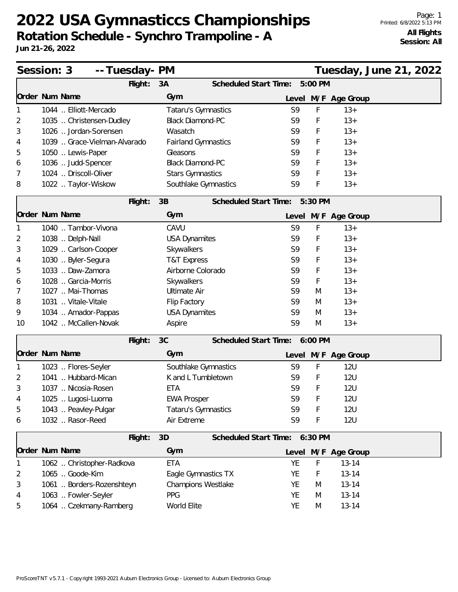## **2022 USA Gymnasticcs Championships Rotation Schedule - Synchro Trampoline - A**

|    | Session: 3                   | -- Tuesday- PM |                            |                       |                               |         | Tuesday, June 21, 2022 |  |
|----|------------------------------|----------------|----------------------------|-----------------------|-------------------------------|---------|------------------------|--|
|    |                              | Flight:        | 3A                         | Scheduled Start Time: |                               | 5:00 PM |                        |  |
|    | Order Num Name               |                | Gym                        |                       | Level                         |         | M/F Age Group          |  |
|    | 1044  Elliott-Mercado        |                | Tataru's Gymnastics        |                       | S9                            | F       | $13+$                  |  |
| 2  | 1035  Christensen-Dudley     |                | <b>Black Diamond-PC</b>    |                       | S <sub>9</sub>                | F       | $13+$                  |  |
| 3  | 1026  Jordan-Sorensen        |                | Wasatch                    |                       | S9                            | F       | $13+$                  |  |
| 4  | 1039  Grace-Vielman-Alvarado |                | <b>Fairland Gymnastics</b> |                       | S <sub>9</sub>                | F       | $13+$                  |  |
| 5  | 1050  Lewis-Paper            |                | Gleasons                   |                       | S9                            | F       | $13+$                  |  |
| 6  | 1036  Judd-Spencer           |                | <b>Black Diamond-PC</b>    |                       | S9                            | F       | $13+$                  |  |
| 7  | 1024  Driscoll-Oliver        |                | <b>Stars Gymnastics</b>    |                       | S <sub>9</sub>                | F       | $13+$                  |  |
| 8  | 1022  Taylor-Wiskow          |                | Southlake Gymnastics       |                       | S9                            | F       | $13+$                  |  |
|    |                              | Flight:        | 3B                         | Scheduled Start Time: |                               | 5:30 PM |                        |  |
|    | Order Num Name               |                | Gym                        |                       |                               |         | Level M/F Age Group    |  |
|    | 1040  Tambor-Vivona          |                | CAVU                       |                       | S9                            | F       | $13+$                  |  |
| 2  | 1038  Delph-Nall             |                | <b>USA Dynamites</b>       |                       | S <sub>9</sub>                | F       | $13+$                  |  |
| 3  | 1029  Carlson-Cooper         |                | Skywalkers                 |                       | S9                            | F       | $13+$                  |  |
| 4  | 1030  Byler-Segura           |                | <b>T&amp;T Express</b>     |                       | S <sub>9</sub>                | F       | $13+$                  |  |
| 5  | 1033  Daw-Zamora             |                | Airborne Colorado          |                       | S9                            | F       | $13+$                  |  |
| 6  | 1028  Garcia-Morris          |                | Skywalkers                 |                       | S <sub>9</sub>                | F       | $13+$                  |  |
| 7  | 1027  Mai-Thomas             |                | <b>Ultimate Air</b>        |                       | S <sub>9</sub>                | M       | $13+$                  |  |
| 8  | 1031  Vitale-Vitale          |                | Flip Factory               |                       | S9                            | M       | $13+$                  |  |
| 9  | 1034  Amador-Pappas          |                | <b>USA Dynamites</b>       |                       | S9                            | M       | $13+$                  |  |
| 10 | 1042  McCallen-Novak         |                | Aspire                     |                       | S9                            | M       | $13+$                  |  |
|    |                              | Flight:        | 3C                         |                       | Scheduled Start Time: 6:00 PM |         |                        |  |
|    | Order Num Name               |                | Gym                        |                       |                               |         | Level M/F Age Group    |  |
|    | 1023  Flores-Seyler          |                | Southlake Gymnastics       |                       | S9                            | F       | <b>12U</b>             |  |
| 2  | 1041  Hubbard-Mican          |                | K and L Tumbletown         |                       | S <sub>9</sub>                | F       | <b>12U</b>             |  |
| 3  | 1037  Nicosia-Rosen          |                | ETA                        |                       | S <sub>9</sub>                | F       | <b>12U</b>             |  |
| 4  | 1025  Lugosi-Luoma           |                | <b>EWA Prosper</b>         |                       | S9                            | F       | <b>12U</b>             |  |
| 5  | 1043  Peavley-Pulgar         |                | Tataru's Gymnastics        |                       | S9                            | F       | <b>12U</b>             |  |
| 6  | 1032  Rasor-Reed             |                | Air Extreme                |                       | S9                            | F       | <b>12U</b>             |  |
|    |                              | Flight:        | 3D                         |                       | Scheduled Start Time: 6:30 PM |         |                        |  |
|    | Order Num Name               |                | Gym                        |                       |                               |         | Level M/F Age Group    |  |
|    | 1062  Christopher-Radkova    |                | <b>ETA</b>                 |                       | YE                            | F       | $13 - 14$              |  |
| 2  | 1065  Goode-Kim              |                | Eagle Gymnastics TX        |                       | <b>YE</b>                     | F       | $13 - 14$              |  |
| 3  | 1061  Borders-Rozenshteyn    |                | Champions Westlake         |                       | YE                            | M       | $13 - 14$              |  |
| 4  | 1063  Fowler-Seyler          |                | <b>PPG</b>                 |                       | YE                            | M       | $13 - 14$              |  |
| 5  | 1064  Czekmany-Ramberg       |                | World Elite                |                       | YE                            | M       | $13 - 14$              |  |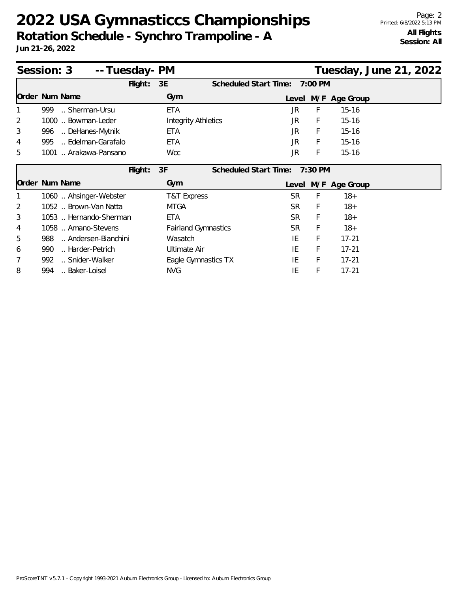## **2022 USA Gymnasticcs Championships Rotation Schedule - Synchro Trampoline - A**

|   | Session: 3                | -- Tuesday- PM |                            |                              |           |           |               | Tuesday, June 21, 2022 |  |
|---|---------------------------|----------------|----------------------------|------------------------------|-----------|-----------|---------------|------------------------|--|
|   |                           | Flight:        | 3E                         | Scheduled Start Time:        |           | 7:00 PM   |               |                        |  |
|   | Order Num Name            |                | Gym                        |                              | Level     |           | M/F Age Group |                        |  |
|   | 999<br>Sherman-Ursu       |                | <b>ETA</b>                 |                              | JR        | F         | $15 - 16$     |                        |  |
| 2 | 1000  Bowman-Leder        |                | <b>Integrity Athletics</b> |                              | JR        | F         | $15 - 16$     |                        |  |
| 3 | DeHanes-Mytnik<br>996     |                | <b>ETA</b>                 |                              | JR        | F         | $15 - 16$     |                        |  |
| 4 | Edelman-Garafalo<br>995   |                | <b>ETA</b>                 |                              | JR        | F         | $15 - 16$     |                        |  |
| 5 | 1001  Arakawa-Pansano     |                | <b>Wcc</b>                 |                              | JR        | F         | $15 - 16$     |                        |  |
|   |                           | Flight:        | 3F                         | <b>Scheduled Start Time:</b> |           | $7:30$ PM |               |                        |  |
|   | Order Num Name            |                | Gym                        |                              | Level     |           | M/F Age Group |                        |  |
|   | 1060  Ahsinger-Webster    |                | T&T Express                |                              | <b>SR</b> | F         | $18+$         |                        |  |
| 2 | 1052  Brown-Van Natta     |                | <b>MTGA</b>                |                              | SR.       | F         | $18+$         |                        |  |
| 3 | 1053  Hernando-Sherman    |                | <b>ETA</b>                 |                              | <b>SR</b> | F         | $18+$         |                        |  |
| 4 | 1058  Amano-Stevens       |                | <b>Fairland Gymnastics</b> |                              | SR.       | F         | $18+$         |                        |  |
| 5 | Andersen-Bianchini<br>988 |                | Wasatch                    |                              | IE        | F         | $17 - 21$     |                        |  |
| 6 | Harder-Petrich<br>990     |                | <b>Ultimate Air</b>        |                              | IE        | F         | $17 - 21$     |                        |  |
| 7 | Snider-Walker<br>992      |                | Eagle Gymnastics TX        |                              | IE        | F         | $17 - 21$     |                        |  |
| 8 | Baker-Loisel<br>994       |                | <b>NVG</b>                 |                              | IE        | F         | $17 - 21$     |                        |  |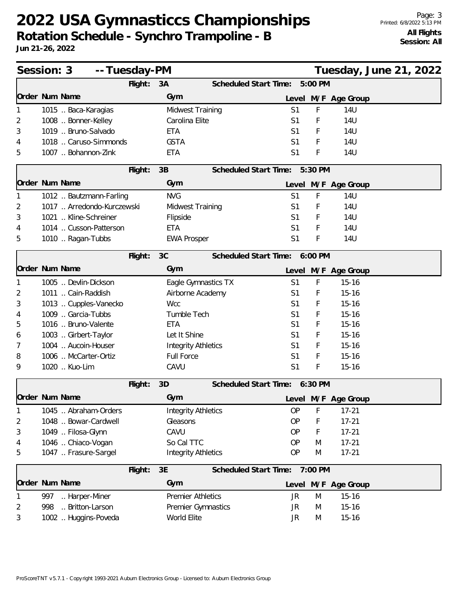## **2022 USA Gymnasticcs Championships Rotation Schedule - Synchro Trampoline - B**

| Session: 3<br>-- Tuesday-PM<br>Tuesday, June 21, 2022 |                            |         |                            |                               |                |             |                     |  |  |
|-------------------------------------------------------|----------------------------|---------|----------------------------|-------------------------------|----------------|-------------|---------------------|--|--|
|                                                       |                            | Flight: | 3A                         | Scheduled Start Time:         |                | 5:00 PM     |                     |  |  |
|                                                       | Order Num Name             |         | Gym                        |                               | Level          |             | M/F Age Group       |  |  |
|                                                       | 1015  Baca-Karagias        |         | Midwest Training           |                               | S <sub>1</sub> | F           | <b>14U</b>          |  |  |
| 2                                                     | 1008  Bonner-Kelley        |         | Carolina Elite             |                               | S <sub>1</sub> | F           | 14U                 |  |  |
| 3                                                     | 1019  Bruno-Salvado        |         | ETA                        |                               | S <sub>1</sub> | F           | 14U                 |  |  |
| 4                                                     | 1018  Caruso-Simmonds      |         | <b>GSTA</b>                |                               | S <sub>1</sub> | F           | <b>14U</b>          |  |  |
| 5                                                     | 1007  Bohannon-Zink        |         | <b>ETA</b>                 |                               | S <sub>1</sub> | F           | 14U                 |  |  |
|                                                       |                            | Flight: | 3B                         | Scheduled Start Time:         |                | 5:30 PM     |                     |  |  |
|                                                       | Order Num Name             |         | Gym                        |                               |                |             | Level M/F Age Group |  |  |
|                                                       | 1012  Bautzmann-Farling    |         | <b>NVG</b>                 |                               | S <sub>1</sub> | F           | <b>14U</b>          |  |  |
| 2                                                     | 1017  Arredondo-Kurczewski |         | Midwest Training           |                               | S <sub>1</sub> | F           | 14U                 |  |  |
| 3                                                     | 1021  Kline-Schreiner      |         | Flipside                   |                               | S1             | F           | 14U                 |  |  |
| 4                                                     | 1014  Cusson-Patterson     |         | <b>ETA</b>                 |                               | S <sub>1</sub> | F           | <b>14U</b>          |  |  |
| 5                                                     | 1010  Ragan-Tubbs          |         | <b>EWA Prosper</b>         |                               | S <sub>1</sub> | F           | 14U                 |  |  |
|                                                       |                            | Flight: | 3C                         | Scheduled Start Time: 6:00 PM |                |             |                     |  |  |
|                                                       | Order Num Name             |         | Gym                        |                               |                |             | Level M/F Age Group |  |  |
|                                                       | 1005  Devlin-Dickson       |         | Eagle Gymnastics TX        |                               | S <sub>1</sub> | $\mathsf F$ | $15 - 16$           |  |  |
| 2                                                     | 1011  Cain-Raddish         |         | Airborne Academy           |                               | S <sub>1</sub> | F           | $15 - 16$           |  |  |
| 3                                                     | 1013  Cupples-Vanecko      |         | <b>Wcc</b>                 |                               | S <sub>1</sub> | F           | $15 - 16$           |  |  |
| 4                                                     | 1009  Garcia-Tubbs         |         | Tumble Tech                |                               | S <sub>1</sub> | F           | $15 - 16$           |  |  |
| 5                                                     | 1016  Bruno-Valente        |         | <b>ETA</b>                 |                               | S <sub>1</sub> | F           | $15 - 16$           |  |  |
| 6                                                     | 1003  Girbert-Taylor       |         | Let It Shine               |                               | S <sub>1</sub> | F           | $15 - 16$           |  |  |
| 7                                                     | 1004  Aucoin-Houser        |         | <b>Integrity Athletics</b> |                               | S <sub>1</sub> | F           | $15 - 16$           |  |  |
| 8                                                     | 1006  McCarter-Ortiz       |         | <b>Full Force</b>          |                               | S <sub>1</sub> | F           | $15 - 16$           |  |  |
| 9                                                     | 1020  Kuo-Lim              |         | CAVU                       |                               | S <sub>1</sub> | F           | $15 - 16$           |  |  |
|                                                       |                            | Flight: | 3D                         | <b>Scheduled Start Time:</b>  |                | 6:30 PM     |                     |  |  |
|                                                       | Order Num Name             |         | Gym                        |                               | Level          |             | M/F Age Group       |  |  |
|                                                       | 1045  Abraham-Orders       |         | <b>Integrity Athletics</b> |                               | <b>OP</b>      | F           | $17 - 21$           |  |  |
| 2                                                     | 1048  Bowar-Cardwell       |         | Gleasons                   |                               | <b>OP</b>      | F           | $17 - 21$           |  |  |
| 3                                                     | 1049  Filosa-Glynn         |         | CAVU                       |                               | <b>OP</b>      | F           | $17 - 21$           |  |  |
| 4                                                     | 1046  Chiaco-Vogan         |         | So Cal TTC                 |                               | <b>OP</b>      | M           | $17 - 21$           |  |  |
| 5                                                     | 1047  Frasure-Sargel       |         | <b>Integrity Athletics</b> |                               | <b>OP</b>      | M           | $17 - 21$           |  |  |
|                                                       |                            | Flight: | 3E                         | Scheduled Start Time:         |                | 7:00 PM     |                     |  |  |
|                                                       | Order Num Name             |         | Gym                        |                               | Level          |             | M/F Age Group       |  |  |
|                                                       | 997<br>Harper-Miner        |         | <b>Premier Athletics</b>   |                               | JR             | M           | $15 - 16$           |  |  |
| 2                                                     | Britton-Larson<br>998      |         | Premier Gymnastics         |                               | JR             | M           | $15 - 16$           |  |  |
| 3                                                     | 1002  Huggins-Poveda       |         | World Elite                |                               | JR             | M           | $15 - 16$           |  |  |